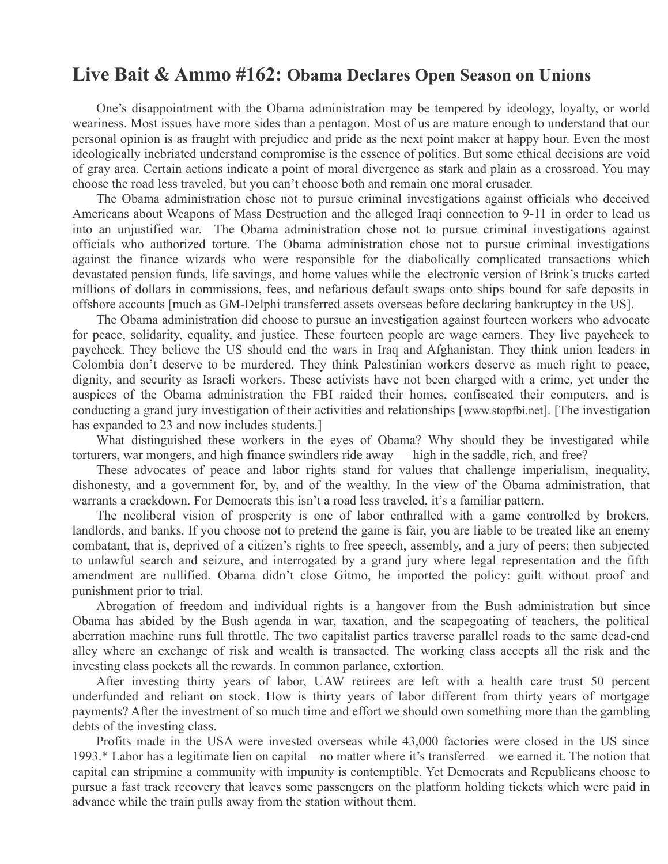## **Live Bait & Ammo #162: Obama Declares Open Season on Unions**

One's disappointment with the Obama administration may be tempered by ideology, loyalty, or world weariness. Most issues have more sides than a pentagon. Most of us are mature enough to understand that our personal opinion is as fraught with prejudice and pride as the next point maker at happy hour. Even the most ideologically inebriated understand compromise is the essence of politics. But some ethical decisions are void of gray area. Certain actions indicate a point of moral divergence as stark and plain as a crossroad. You may choose the road less traveled, but you can't choose both and remain one moral crusader.

The Obama administration chose not to pursue criminal investigations against officials who deceived Americans about Weapons of Mass Destruction and the alleged Iraqi connection to 9-11 in order to lead us into an unjustified war. The Obama administration chose not to pursue criminal investigations against officials who authorized torture. The Obama administration chose not to pursue criminal investigations against the finance wizards who were responsible for the diabolically complicated transactions which devastated pension funds, life savings, and home values while the electronic version of Brink's trucks carted millions of dollars in commissions, fees, and nefarious default swaps onto ships bound for safe deposits in offshore accounts [much as GM-Delphi transferred assets overseas before declaring bankruptcy in the US].

The Obama administration did choose to pursue an investigation against fourteen workers who advocate for peace, solidarity, equality, and justice. These fourteen people are wage earners. They live paycheck to paycheck. They believe the US should end the wars in Iraq and Afghanistan. They think union leaders in Colombia don't deserve to be murdered. They think Palestinian workers deserve as much right to peace, dignity, and security as Israeli workers. These activists have not been charged with a crime, yet under the auspices of the Obama administration the FBI raided their homes, confiscated their computers, and is conducting a grand jury investigation of their activities and relationships [www.stopfbi.net]. [The investigation has expanded to 23 and now includes students.]

What distinguished these workers in the eyes of Obama? Why should they be investigated while torturers, war mongers, and high finance swindlers ride away — high in the saddle, rich, and free?

These advocates of peace and labor rights stand for values that challenge imperialism, inequality, dishonesty, and a government for, by, and of the wealthy. In the view of the Obama administration, that warrants a crackdown. For Democrats this isn't a road less traveled, it's a familiar pattern.

The neoliberal vision of prosperity is one of labor enthralled with a game controlled by brokers, landlords, and banks. If you choose not to pretend the game is fair, you are liable to be treated like an enemy combatant, that is, deprived of a citizen's rights to free speech, assembly, and a jury of peers; then subjected to unlawful search and seizure, and interrogated by a grand jury where legal representation and the fifth amendment are nullified. Obama didn't close Gitmo, he imported the policy: guilt without proof and punishment prior to trial.

Abrogation of freedom and individual rights is a hangover from the Bush administration but since Obama has abided by the Bush agenda in war, taxation, and the scapegoating of teachers, the political aberration machine runs full throttle. The two capitalist parties traverse parallel roads to the same dead-end alley where an exchange of risk and wealth is transacted. The working class accepts all the risk and the investing class pockets all the rewards. In common parlance, extortion.

After investing thirty years of labor, UAW retirees are left with a health care trust 50 percent underfunded and reliant on stock. How is thirty years of labor different from thirty years of mortgage payments? After the investment of so much time and effort we should own something more than the gambling debts of the investing class.

Profits made in the USA were invested overseas while 43,000 factories were closed in the US since 1993.\* Labor has a legitimate lien on capital—no matter where it's transferred—we earned it. The notion that capital can stripmine a community with impunity is contemptible. Yet Democrats and Republicans choose to pursue a fast track recovery that leaves some passengers on the platform holding tickets which were paid in advance while the train pulls away from the station without them.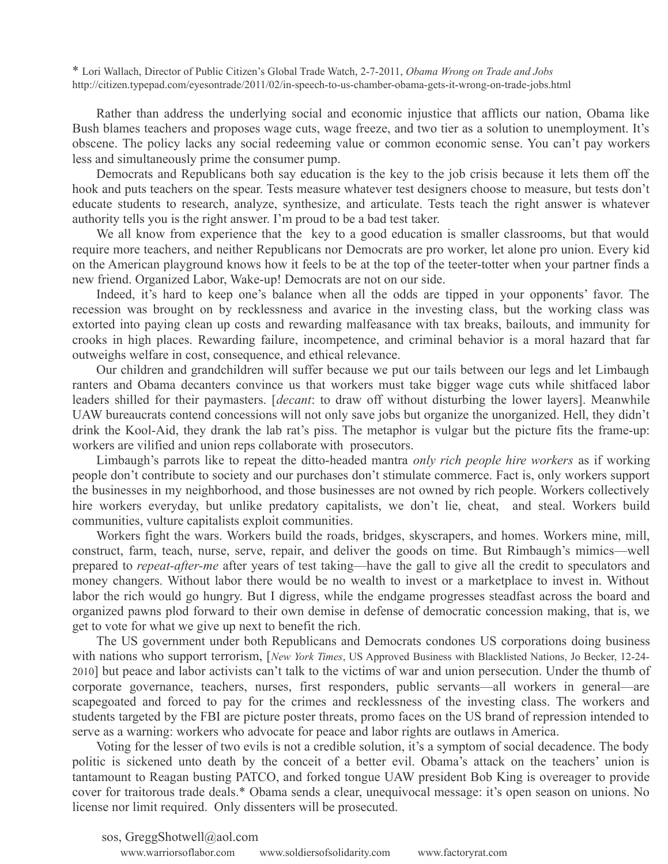\* Lori Wallach, Director of Public Citizen's Global Trade Watch, 2-7-2011, *Obama Wrong on Trade and Jobs*  http://citizen.typepad.com/eyesontrade/2011/02/in-speech-to-us-chamber-obama-gets-it-wrong-on-trade-jobs.html

Rather than address the underlying social and economic injustice that afflicts our nation, Obama like Bush blames teachers and proposes wage cuts, wage freeze, and two tier as a solution to unemployment. It's obscene. The policy lacks any social redeeming value or common economic sense. You can't pay workers less and simultaneously prime the consumer pump.

Democrats and Republicans both say education is the key to the job crisis because it lets them off the hook and puts teachers on the spear. Tests measure whatever test designers choose to measure, but tests don't educate students to research, analyze, synthesize, and articulate. Tests teach the right answer is whatever authority tells you is the right answer. I'm proud to be a bad test taker.

We all know from experience that the key to a good education is smaller classrooms, but that would require more teachers, and neither Republicans nor Democrats are pro worker, let alone pro union. Every kid on the American playground knows how it feels to be at the top of the teeter-totter when your partner finds a new friend. Organized Labor, Wake-up! Democrats are not on our side.

Indeed, it's hard to keep one's balance when all the odds are tipped in your opponents' favor. The recession was brought on by recklessness and avarice in the investing class, but the working class was extorted into paying clean up costs and rewarding malfeasance with tax breaks, bailouts, and immunity for crooks in high places. Rewarding failure, incompetence, and criminal behavior is a moral hazard that far outweighs welfare in cost, consequence, and ethical relevance.

Our children and grandchildren will suffer because we put our tails between our legs and let Limbaugh ranters and Obama decanters convince us that workers must take bigger wage cuts while shitfaced labor leaders shilled for their paymasters. [*decant*: to draw off without disturbing the lower layers]. Meanwhile UAW bureaucrats contend concessions will not only save jobs but organize the unorganized. Hell, they didn't drink the Kool-Aid, they drank the lab rat's piss. The metaphor is vulgar but the picture fits the frame-up: workers are vilified and union reps collaborate with prosecutors.

Limbaugh's parrots like to repeat the ditto-headed mantra *only rich people hire workers* as if working people don't contribute to society and our purchases don't stimulate commerce. Fact is, only workers support the businesses in my neighborhood, and those businesses are not owned by rich people. Workers collectively hire workers everyday, but unlike predatory capitalists, we don't lie, cheat, and steal. Workers build communities, vulture capitalists exploit communities.

Workers fight the wars. Workers build the roads, bridges, skyscrapers, and homes. Workers mine, mill, construct, farm, teach, nurse, serve, repair, and deliver the goods on time. But Rimbaugh's mimics—well prepared to *repeat-after-me* after years of test taking—have the gall to give all the credit to speculators and money changers. Without labor there would be no wealth to invest or a marketplace to invest in. Without labor the rich would go hungry. But I digress, while the endgame progresses steadfast across the board and organized pawns plod forward to their own demise in defense of democratic concession making, that is, we get to vote for what we give up next to benefit the rich.

The US government under both Republicans and Democrats condones US corporations doing business with nations who support terrorism, [*New York Times*, US Approved Business with Blacklisted Nations, Jo Becker, 12-24- 2010] but peace and labor activists can't talk to the victims of war and union persecution. Under the thumb of corporate governance, teachers, nurses, first responders, public servants—all workers in general—are scapegoated and forced to pay for the crimes and recklessness of the investing class. The workers and students targeted by the FBI are picture poster threats, promo faces on the US brand of repression intended to serve as a warning: workers who advocate for peace and labor rights are outlaws in America.

Voting for the lesser of two evils is not a credible solution, it's a symptom of social decadence. The body politic is sickened unto death by the conceit of a better evil. Obama's attack on the teachers' union is tantamount to Reagan busting PATCO, and forked tongue UAW president Bob King is overeager to provide cover for traitorous trade deals.\* Obama sends a clear, unequivocal message: it's open season on unions. No license nor limit required. Only dissenters will be prosecuted.

sos, GreggShotwell@aol.com

www.warriorsoflabor.com www.soldiersofsolidarity.com www.factoryrat.com